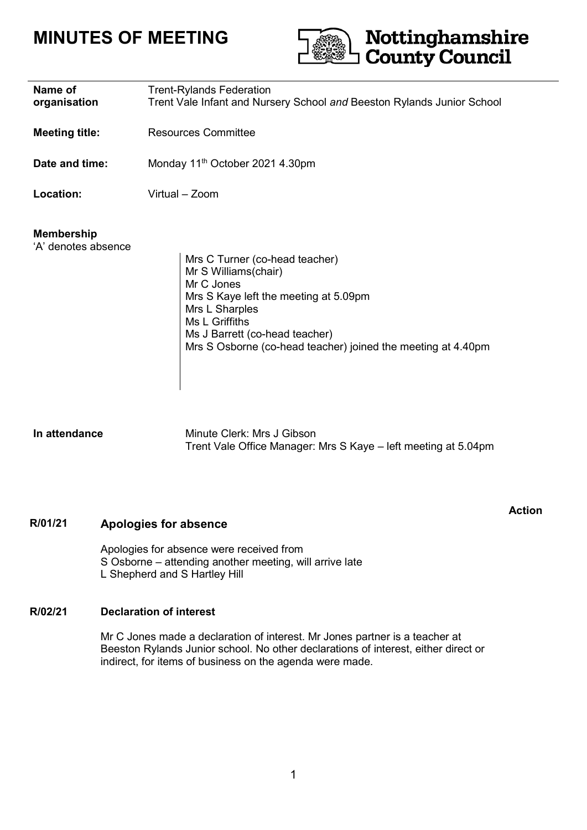# **MINUTES OF MEETING**



| Name of<br>organisation                  | <b>Trent-Rylands Federation</b><br>Trent Vale Infant and Nursery School and Beeston Rylands Junior School                                                                                                                                           |
|------------------------------------------|-----------------------------------------------------------------------------------------------------------------------------------------------------------------------------------------------------------------------------------------------------|
| <b>Meeting title:</b>                    | <b>Resources Committee</b>                                                                                                                                                                                                                          |
| Date and time:                           | Monday 11 <sup>th</sup> October 2021 4.30pm                                                                                                                                                                                                         |
| Location:                                | Virtual - Zoom                                                                                                                                                                                                                                      |
| <b>Membership</b><br>'A' denotes absence | Mrs C Turner (co-head teacher)<br>Mr S Williams(chair)<br>Mr C Jones<br>Mrs S Kaye left the meeting at 5.09pm<br>Mrs L Sharples<br>Ms L Griffiths<br>Ms J Barrett (co-head teacher)<br>Mrs S Osborne (co-head teacher) joined the meeting at 4.40pm |

**In attendance** Minute Clerk: Mrs J Gibson Trent Vale Office Manager: Mrs S Kaye – left meeting at 5.04pm

**Action**

### **R/01/21 Apologies for absence**

Apologies for absence were received from S Osborne – attending another meeting, will arrive late L Shepherd and S Hartley Hill

### **R/02/21 Declaration of interest**

Mr C Jones made a declaration of interest. Mr Jones partner is a teacher at Beeston Rylands Junior school. No other declarations of interest, either direct or indirect, for items of business on the agenda were made.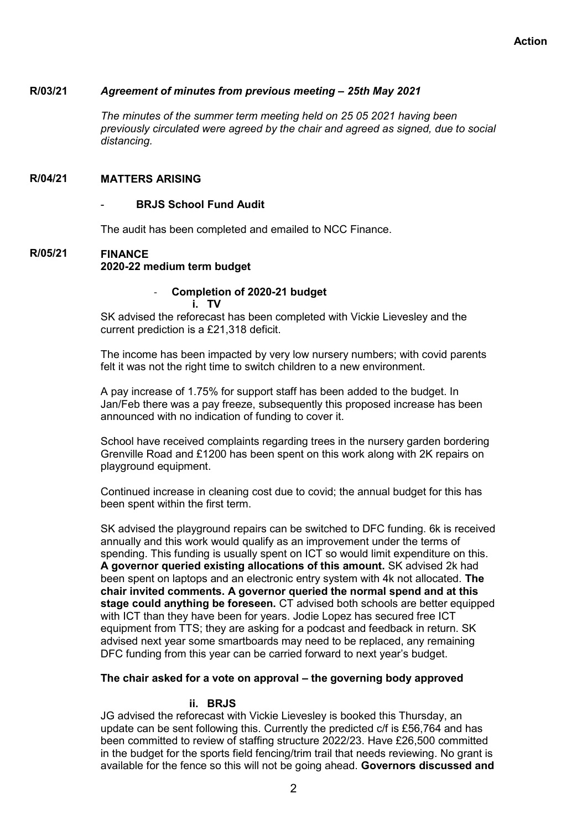#### **R/03/21** *Agreement of minutes from previous meeting – 25th May 2021*

*The minutes of the summer term meeting held on 25 05 2021 having been previously circulated were agreed by the chair and agreed as signed, due to social distancing.*

#### **R/04/21 MATTERS ARISING**

### **BRJS School Fund Audit**

The audit has been completed and emailed to NCC Finance.

### **R/05/21 FINANCE 2020-22 medium term budget**

### - **Completion of 2020-21 budget i. TV**

SK advised the reforecast has been completed with Vickie Lievesley and the current prediction is a £21,318 deficit.

The income has been impacted by very low nursery numbers; with covid parents felt it was not the right time to switch children to a new environment.

A pay increase of 1.75% for support staff has been added to the budget. In Jan/Feb there was a pay freeze, subsequently this proposed increase has been announced with no indication of funding to cover it.

School have received complaints regarding trees in the nursery garden bordering Grenville Road and £1200 has been spent on this work along with 2K repairs on playground equipment.

Continued increase in cleaning cost due to covid; the annual budget for this has been spent within the first term.

SK advised the playground repairs can be switched to DFC funding. 6k is received annually and this work would qualify as an improvement under the terms of spending. This funding is usually spent on ICT so would limit expenditure on this. **A governor queried existing allocations of this amount.** SK advised 2k had been spent on laptops and an electronic entry system with 4k not allocated. **The chair invited comments. A governor queried the normal spend and at this stage could anything be foreseen.** CT advised both schools are better equipped with ICT than they have been for years. Jodie Lopez has secured free ICT equipment from TTS; they are asking for a podcast and feedback in return. SK advised next year some smartboards may need to be replaced, any remaining DFC funding from this year can be carried forward to next year's budget.

### **The chair asked for a vote on approval – the governing body approved**

### **ii. BRJS**

JG advised the reforecast with Vickie Lievesley is booked this Thursday, an update can be sent following this. Currently the predicted c/f is £56,764 and has been committed to review of staffing structure 2022/23. Have £26,500 committed in the budget for the sports field fencing/trim trail that needs reviewing. No grant is available for the fence so this will not be going ahead. **Governors discussed and**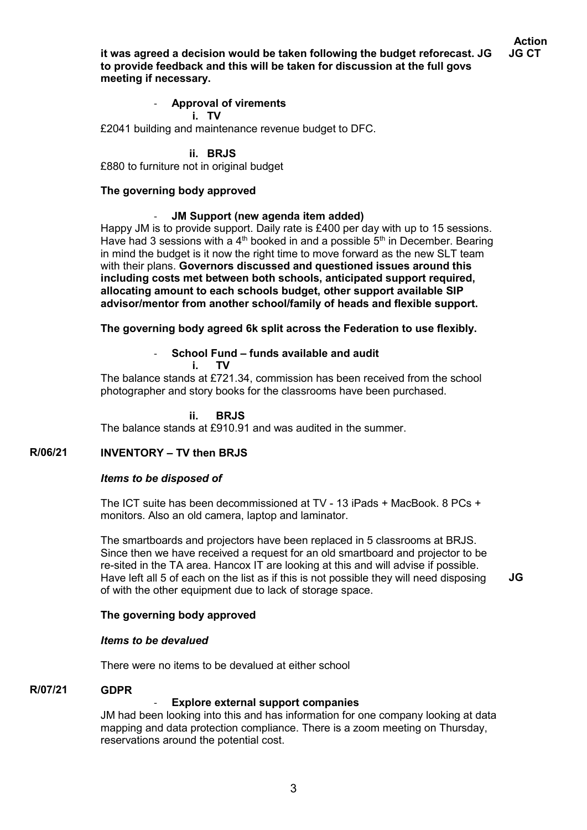**it was agreed a decision would be taken following the budget reforecast. JG to provide feedback and this will be taken for discussion at the full govs meeting if necessary.**

### - **Approval of virements i. TV**

£2041 building and maintenance revenue budget to DFC.

**ii. BRJS** 

£880 to furniture not in original budget

### **The governing body approved**

### - **JM Support (new agenda item added)**

Happy JM is to provide support. Daily rate is £400 per day with up to 15 sessions. Have had 3 sessions with a 4<sup>th</sup> booked in and a possible  $5<sup>th</sup>$  in December. Bearing in mind the budget is it now the right time to move forward as the new SLT team with their plans. **Governors discussed and questioned issues around this including costs met between both schools, anticipated support required, allocating amount to each schools budget, other support available SIP advisor/mentor from another school/family of heads and flexible support.** 

**The governing body agreed 6k split across the Federation to use flexibly.**

### - **School Fund – funds available and audit**

**i. TV** 

The balance stands at £721.34, commission has been received from the school photographer and story books for the classrooms have been purchased.

### **ii. BRJS**

The balance stands at £910.91 and was audited in the summer.

#### **R/06/21 INVENTORY – TV then BRJS**

### *Items to be disposed of*

The ICT suite has been decommissioned at TV - 13 iPads + MacBook. 8 PCs + monitors. Also an old camera, laptop and laminator.

The smartboards and projectors have been replaced in 5 classrooms at BRJS. Since then we have received a request for an old smartboard and projector to be re-sited in the TA area. Hancox IT are looking at this and will advise if possible. Have left all 5 of each on the list as if this is not possible they will need disposing of with the other equipment due to lack of storage space. **JG**

### **The governing body approved**

### *Items to be devalued*

There were no items to be devalued at either school

#### **R/07/21 GDPR**

### **Explore external support companies**

JM had been looking into this and has information for one company looking at data mapping and data protection compliance. There is a zoom meeting on Thursday, reservations around the potential cost.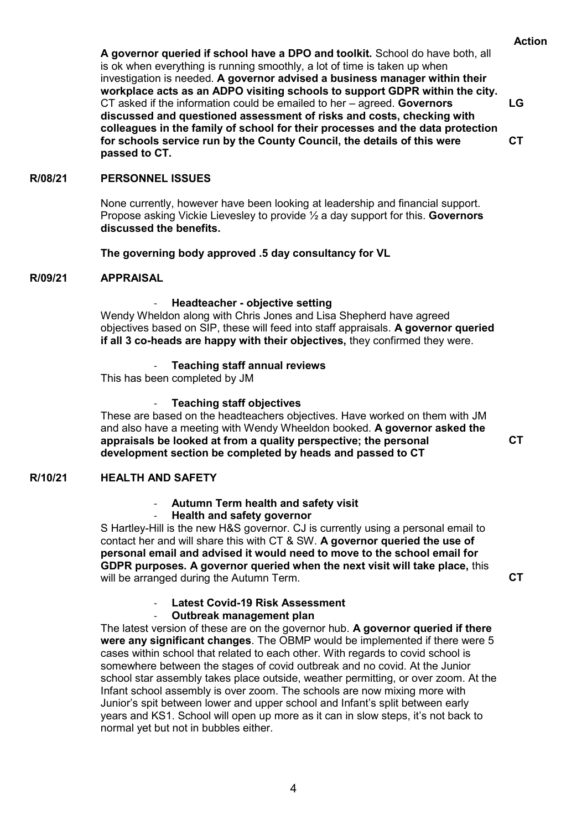**A governor queried if school have a DPO and toolkit.** School do have both, all is ok when everything is running smoothly, a lot of time is taken up when investigation is needed. **A governor advised a business manager within their workplace acts as an ADPO visiting schools to support GDPR within the city.**  CT asked if the information could be emailed to her – agreed. **Governors discussed and questioned assessment of risks and costs, checking with colleagues in the family of school for their processes and the data protection for schools service run by the County Council, the details of this were passed to CT.**

**CT**

**LG**

#### **R/08/21 PERSONNEL ISSUES**

None currently, however have been looking at leadership and financial support. Propose asking Vickie Lievesley to provide ½ a day support for this. **Governors discussed the benefits.**

### **The governing body approved .5 day consultancy for VL**

#### **R/09/21 APPRAISAL**

### - **Headteacher - objective setting**

Wendy Wheldon along with Chris Jones and Lisa Shepherd have agreed objectives based on SIP, these will feed into staff appraisals. **A governor queried if all 3 co-heads are happy with their objectives,** they confirmed they were.

### - **Teaching staff annual reviews**

This has been completed by JM

### - **Teaching staff objectives**

These are based on the headteachers objectives. Have worked on them with JM and also have a meeting with Wendy Wheeldon booked. **A governor asked the appraisals be looked at from a quality perspective; the personal development section be completed by heads and passed to CT**

#### **R/10/21 HEALTH AND SAFETY**

### - **Autumn Term health and safety visit**

### - **Health and safety governor**

S Hartley-Hill is the new H&S governor. CJ is currently using a personal email to contact her and will share this with CT & SW. **A governor queried the use of personal email and advised it would need to move to the school email for GDPR purposes. A governor queried when the next visit will take place,** this will be arranged during the Autumn Term.

**CT**

**CT**

### - **Latest Covid-19 Risk Assessment**

### - **Outbreak management plan**

The latest version of these are on the governor hub. **A governor queried if there were any significant changes**. The OBMP would be implemented if there were 5 cases within school that related to each other. With regards to covid school is somewhere between the stages of covid outbreak and no covid. At the Junior school star assembly takes place outside, weather permitting, or over zoom. At the Infant school assembly is over zoom. The schools are now mixing more with Junior's spit between lower and upper school and Infant's split between early years and KS1. School will open up more as it can in slow steps, it's not back to normal yet but not in bubbles either.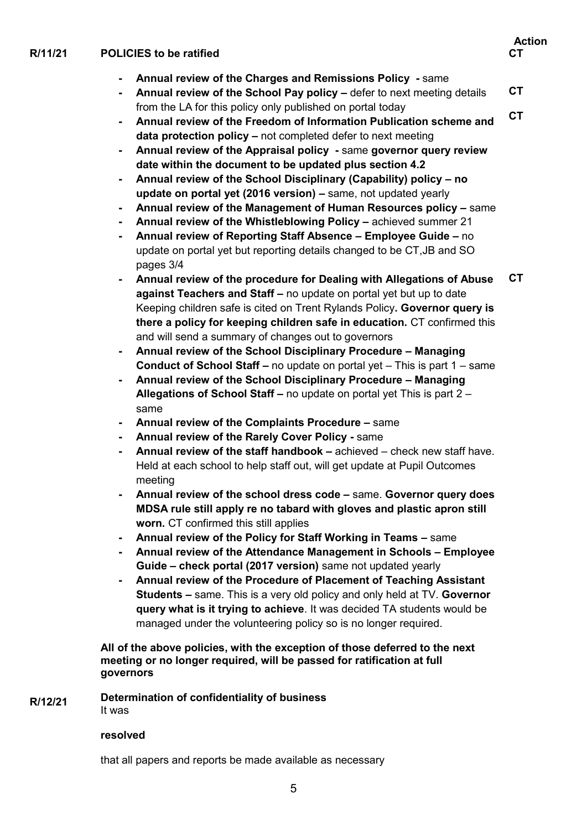### **Action R/11/21 POLICIES to be ratified - Annual review of the Charges and Remissions Policy -** same **- Annual review of the School Pay policy –** defer to next meeting details from the LA for this policy only published on portal today **- Annual review of the Freedom of Information Publication scheme and data protection policy –** not completed defer to next meeting **- Annual review of the Appraisal policy -** same **governor query review date within the document to be updated plus section 4.2 - Annual review of the School Disciplinary (Capability) policy – no update on portal yet (2016 version) –** same, not updated yearly **- Annual review of the Management of Human Resources policy –** same **- Annual review of the Whistleblowing Policy –** achieved summer 21 **CT CT CT**

- **- Annual review of Reporting Staff Absence – Employee Guide –** no update on portal yet but reporting details changed to be CT,JB and SO pages 3/4
- **- Annual review of the procedure for Dealing with Allegations of Abuse against Teachers and Staff –** no update on portal yet but up to date Keeping children safe is cited on Trent Rylands Policy**. Governor query is there a policy for keeping children safe in education.** CT confirmed this and will send a summary of changes out to governors **CT**
- **- Annual review of the School Disciplinary Procedure – Managing Conduct of School Staff –** no update on portal yet – This is part 1 – same
- **- Annual review of the School Disciplinary Procedure – Managing Allegations of School Staff –** no update on portal yet This is part 2 – same
- **- Annual review of the Complaints Procedure –** same
- **- Annual review of the Rarely Cover Policy -** same
- **- Annual review of the staff handbook –** achieved check new staff have. Held at each school to help staff out, will get update at Pupil Outcomes meeting
- **- Annual review of the school dress code –** same. **Governor query does MDSA rule still apply re no tabard with gloves and plastic apron still worn.** CT confirmed this still applies
- **- Annual review of the Policy for Staff Working in Teams –** same
- **- Annual review of the Attendance Management in Schools – Employee Guide – check portal (2017 version)** same not updated yearly
- **- Annual review of the Procedure of Placement of Teaching Assistant Students –** same. This is a very old policy and only held at TV. **Governor query what is it trying to achieve**. It was decided TA students would be managed under the volunteering policy so is no longer required.

**All of the above policies, with the exception of those deferred to the next meeting or no longer required, will be passed for ratification at full governors**

#### **R/12/21 Determination of confidentiality of business**  It was

### **resolved**

that all papers and reports be made available as necessary